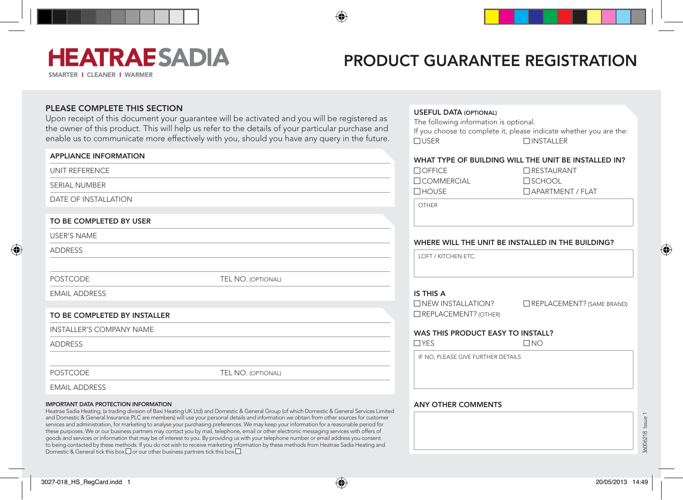# **HEATRAESADIA**

SMARTER | CLEANER | WARMER

### Product Guarantee Registration

 $\Box$  USER  $\Box$  INSTALLER

Useful data (optional)

The following information is optional.

### PLEASE COMPLETE THIS SECTION

Upon receipt of this document your guarantee will be activated and you will be registered as the owner of this product. This will help us refer to the details of your particular purchase and enable us to communicate more effectively with you, should you have any query in the future.

| <b>APPLIANCE INFORMATION</b> |                    |
|------------------------------|--------------------|
| UNIT REFERENCE               |                    |
| SERIAL NUMBER                |                    |
| DATE OF INSTALLATION         |                    |
| TO BE COMPLETED BY USER      |                    |
| <b>USER'S NAME</b>           |                    |
| <b>ADDRESS</b>               |                    |
| <b>POSTCODE</b>              | TEL NO. (OPTIONAL) |
| <b>EMAIL ADDRESS</b>         |                    |
| TO BE COMPLETED BY INSTALLER |                    |
| INSTALLER'S COMPANY NAME     |                    |
| <b>ADDRESS</b>               |                    |
| <b>POSTCODE</b>              | TEL NO. (OPTIONAL) |
| <b>EMAIL ADDRESS</b>         |                    |

#### Important Data Protection Information

Heatrae Sadia Heating, (a trading division of Baxi Heating UK Ltd) and Domestic & General Group (of which Domestic & General Services Limited and Domestic & General Insurance PLC are members) will use your personal details and information we obtain from other sources for customer services and administration, for marketing to analyse your purchasing preferences. We may keep your information for a reasonable period for these purposes. We or our business partners may contact you by mail, telephone, email or other electronic messaging services with offers of goods and services or information that may be of interest to you. By providing us with your telephone number or email address you consent to being contacted by these methods. If you do not wish to receive marketing information by these methods from Heatrae Sadia Heating and Domestic & General tick this box  $\square$  or our other business partners tick this box  $\square$ 

| WHAT TYPE OF BUILDING WILL THE UNIT BE INSTALLED IN?       |                                  |  |
|------------------------------------------------------------|----------------------------------|--|
| $\Box$ OFFICE                                              | <b>RESTAURANT</b>                |  |
| $\Box$ COMMERCIAL                                          | $\square$ SCHOOL                 |  |
| $\square$ HOUSE                                            | APARTMENT / FLAT                 |  |
| <b>OTHER</b>                                               |                                  |  |
| WHERE WILL THE UNIT BE INSTALLED IN THE BUILDING?          |                                  |  |
| LOFT / KITCHEN FTC.                                        |                                  |  |
| IS THIS A                                                  |                                  |  |
| $\square$ NEW INSTALLATION?<br>$\Box$ REPLACEMENT? (OTHER) | $\Box$ REPLACEMENT? (SAME BRAND) |  |
| WAS THIS PRODUCT EASY TO INSTALL?                          |                                  |  |
| $\Box$ YES                                                 | $\Box$ No                        |  |
| IF NO, PLEASE GIVE FURTHER DETAILS                         |                                  |  |
|                                                            |                                  |  |
| <b>ANY OTHER COMMENTS</b>                                  |                                  |  |
|                                                            |                                  |  |
|                                                            |                                  |  |
|                                                            |                                  |  |

If you choose to complete it, please indicate whether you are the:



36006218 Issue 1

**SSUP** 36006218 ◈